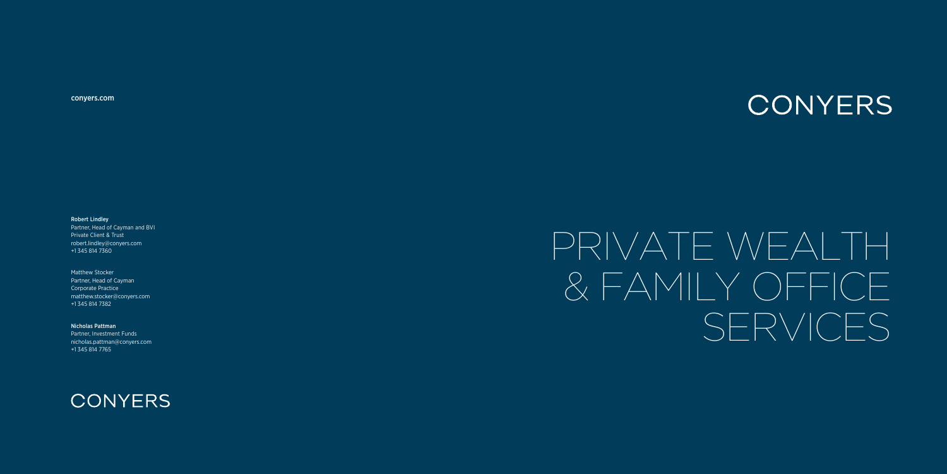# PRIVATE WEALTH & FAMILY OFFICE SERVICES

Robert Lindley

Partner, Head of Cayman and BVI Private Client & Trust robert.lindley@conyers.com +1 345 814 7360

Matthew Stocker Partner, Head of Cayman Corporate Practice matthew.stocker@conyers.com +1 345 814 7382

Nicholas Pattman Partner, Investment Funds nicholas.pattman@conyers.com +1 345 814 7765





#### CONYERS

[conyers.com](www.conyers.com)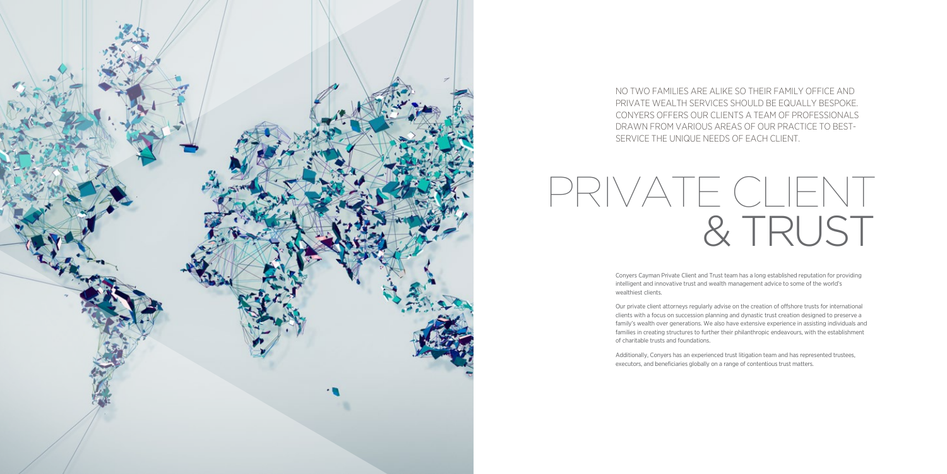



NO TWO FAMILIES ARE ALIKE SO THEIR FAMILY OFFICE AND PRIVATE WEALTH SERVICES SHOULD BE EQUALLY BESPOKE. CONYERS OFFERS OUR CLIENTS A TEAM OF PROFESSIONALS DRAWN FROM VARIOUS AREAS OF OUR PRACTICE TO BEST-SERVICE THE UNIQUE NEEDS OF EACH CLIENT.

Conyers Cayman Private Client and Trust team has a long established reputation for providing intelligent and innovative trust and wealth management advice to some of the world's wealthiest clients.

Our private client attorneys regularly advise on the creation of offshore trusts for international clients with a focus on succession planning and dynastic trust creation designed to preserve a family's wealth over generations. We also have extensive experience in assisting individuals and families in creating structures to further their philanthropic endeavours, with the establishment of charitable trusts and foundations.

Additionally, Conyers has an experienced trust litigation team and has represented trustees, executors, and beneficiaries globally on a range of contentious trust matters.

## PRIVATE CLIENT & TRUST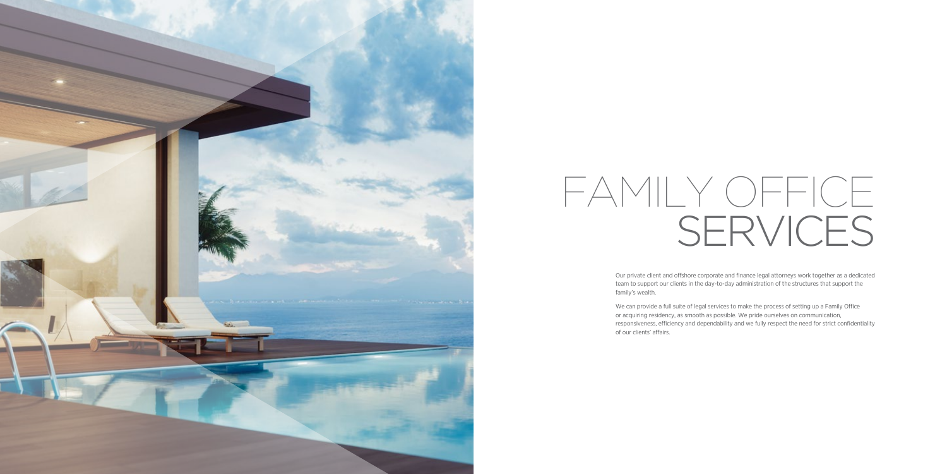Our private client and offshore corporate and finance legal attorneys work together as a dedicated team to support our clients in the day-to-day administration of the structures that support the family's wealth.

We can provide a full suite of legal services to make the process of setting up a Family Office or acquiring residency, as smooth as possible. We pride ourselves on communication, responsiveness, efficiency and dependability and we fully respect the need for strict confidentiality of our clients' affairs.



# FAMILY OFFICE SERVICES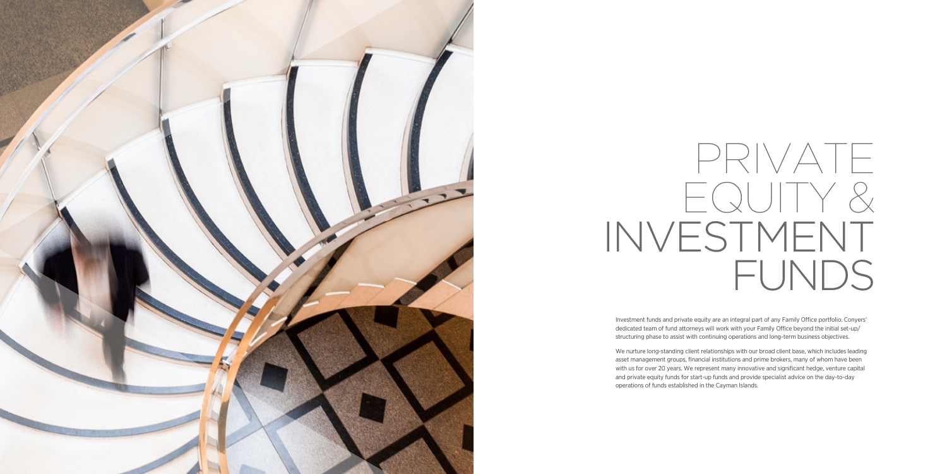Investment funds and private equity are an integral part of any Family Office portfolio. Conyers' dedicated team of fund attorneys will work with your Family Office beyond the initial set-up/ structuring phase to assist with continuing operations and long-term business objectives.

We nurture long-standing client relationships with our broad client base, which includes leading asset management groups, financial institutions and prime brokers, many of whom have been with us for over 20 years. We represent many innovative and significant hedge, venture capital and private equity funds for start-up funds and provide specialist advice on the day-to-day operations of funds established in the Cayman Islands.



## PRIVATE EQUITY & INVESTMENT FUNDS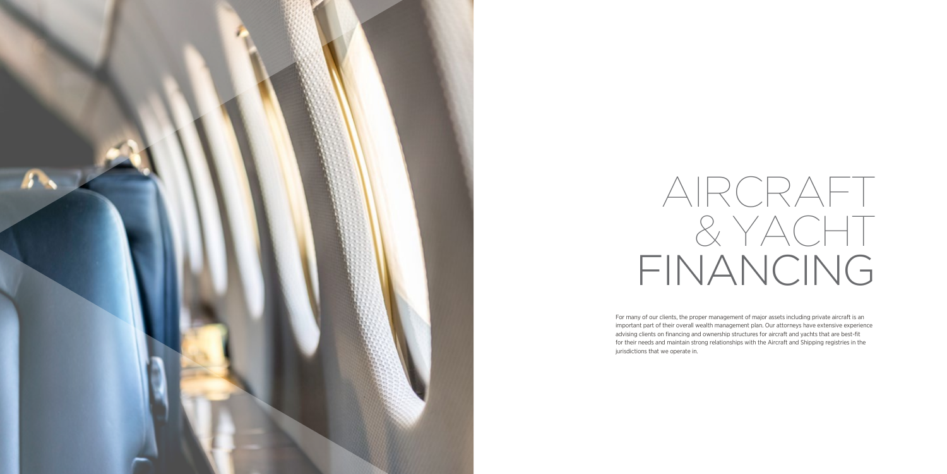For many of our clients, the proper management of major assets including private aircraft is an important part of their overall wealth management plan. Our attorneys have extensive experience advising clients on financing and ownership structures for aircraft and yachts that are best-fit for their needs and maintain strong relationships with the Aircraft and Shipping registries in the jurisdictions that we operate in.



## AIRCRAFT & YACHT FINANCING